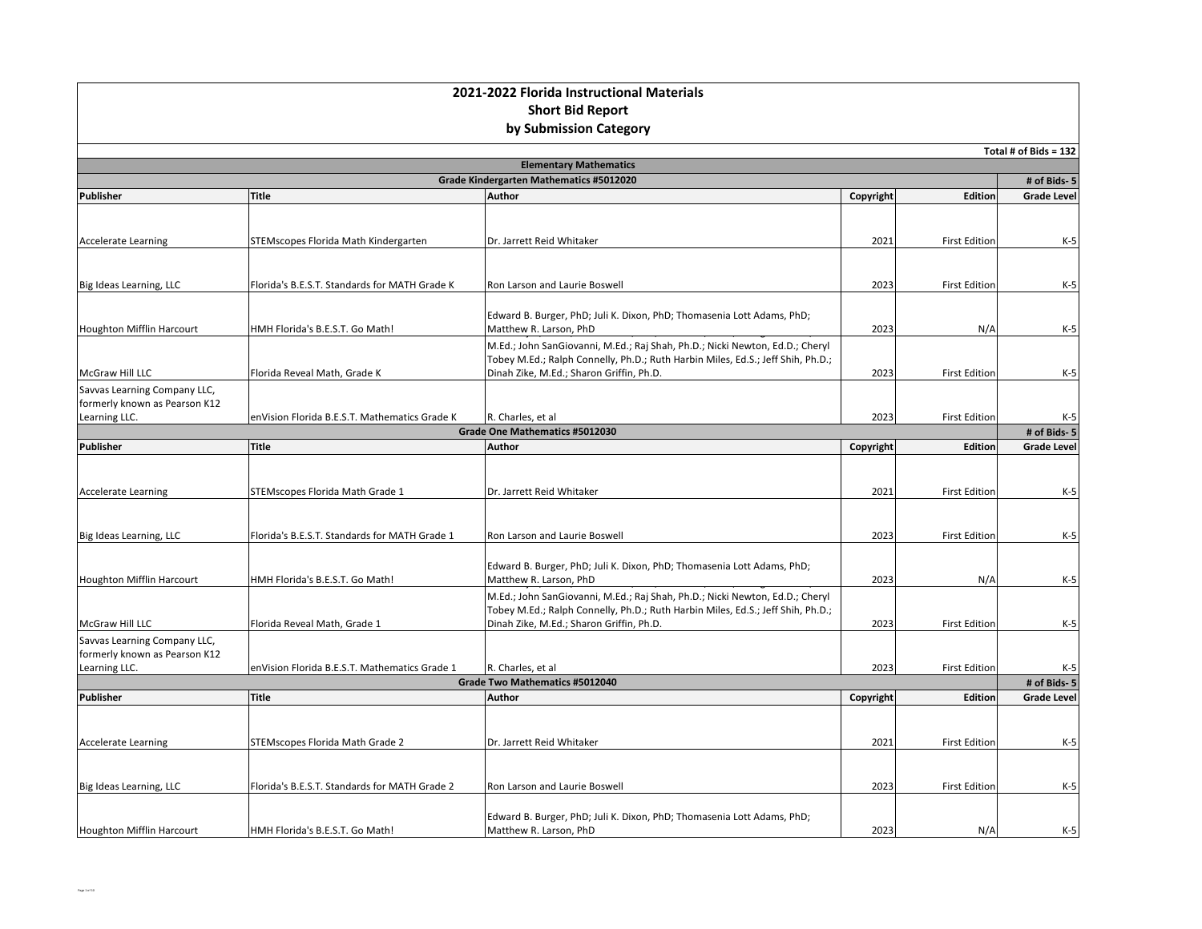| Publisher                                                     | Title<br>STEMscopes Florida Math Kindergarten | <b>Short Bid Report</b><br>by Submission Category<br><b>Elementary Mathematics</b><br>Grade Kindergarten Mathematics #5012020<br>Author                         | Copyright |                      | Total # of Bids = $132$           |  |  |  |  |  |  |  |
|---------------------------------------------------------------|-----------------------------------------------|-----------------------------------------------------------------------------------------------------------------------------------------------------------------|-----------|----------------------|-----------------------------------|--|--|--|--|--|--|--|
|                                                               |                                               |                                                                                                                                                                 |           |                      |                                   |  |  |  |  |  |  |  |
|                                                               |                                               |                                                                                                                                                                 |           |                      |                                   |  |  |  |  |  |  |  |
|                                                               |                                               |                                                                                                                                                                 |           |                      |                                   |  |  |  |  |  |  |  |
|                                                               |                                               |                                                                                                                                                                 |           |                      |                                   |  |  |  |  |  |  |  |
|                                                               |                                               |                                                                                                                                                                 |           |                      | # of Bids- 5                      |  |  |  |  |  |  |  |
|                                                               |                                               |                                                                                                                                                                 |           | Edition              | <b>Grade Level</b>                |  |  |  |  |  |  |  |
|                                                               |                                               |                                                                                                                                                                 |           |                      |                                   |  |  |  |  |  |  |  |
| <b>Accelerate Learning</b>                                    |                                               | Dr. Jarrett Reid Whitaker                                                                                                                                       | 2021      | <b>First Edition</b> | $K-5$                             |  |  |  |  |  |  |  |
|                                                               |                                               |                                                                                                                                                                 |           |                      |                                   |  |  |  |  |  |  |  |
| Big Ideas Learning, LLC                                       | Florida's B.E.S.T. Standards for MATH Grade K | Ron Larson and Laurie Boswell                                                                                                                                   | 2023      | <b>First Edition</b> | $K-5$                             |  |  |  |  |  |  |  |
|                                                               |                                               |                                                                                                                                                                 |           |                      |                                   |  |  |  |  |  |  |  |
| Houghton Mifflin Harcourt                                     | HMH Florida's B.E.S.T. Go Math!               | Edward B. Burger, PhD; Juli K. Dixon, PhD; Thomasenia Lott Adams, PhD;<br>Matthew R. Larson, PhD                                                                | 2023      | N/A                  | $K-5$                             |  |  |  |  |  |  |  |
|                                                               |                                               | M.Ed.; John SanGiovanni, M.Ed.; Raj Shah, Ph.D.; Nicki Newton, Ed.D.; Cheryl                                                                                    |           |                      |                                   |  |  |  |  |  |  |  |
| McGraw Hill LLC                                               | Florida Reveal Math, Grade K                  | Tobey M.Ed.; Ralph Connelly, Ph.D.; Ruth Harbin Miles, Ed.S.; Jeff Shih, Ph.D.;<br>Dinah Zike, M.Ed.; Sharon Griffin, Ph.D.                                     | 2023      | <b>First Edition</b> | $K-5$                             |  |  |  |  |  |  |  |
| Savvas Learning Company LLC,                                  |                                               |                                                                                                                                                                 |           |                      |                                   |  |  |  |  |  |  |  |
| formerly known as Pearson K12                                 |                                               |                                                                                                                                                                 |           |                      |                                   |  |  |  |  |  |  |  |
| Learning LLC.                                                 | enVision Florida B.E.S.T. Mathematics Grade K | R. Charles, et al                                                                                                                                               | 2023      | <b>First Edition</b> | K-5                               |  |  |  |  |  |  |  |
| Publisher                                                     | Title                                         | Grade One Mathematics #5012030<br>Author                                                                                                                        | Copyright | Edition              | # of Bids-5<br><b>Grade Level</b> |  |  |  |  |  |  |  |
| <b>Accelerate Learning</b>                                    | STEMscopes Florida Math Grade 1               | Dr. Jarrett Reid Whitaker                                                                                                                                       | 2021      | <b>First Edition</b> | $K-5$                             |  |  |  |  |  |  |  |
| Big Ideas Learning, LLC                                       | Florida's B.E.S.T. Standards for MATH Grade 1 | Ron Larson and Laurie Boswell                                                                                                                                   | 2023      | <b>First Edition</b> | $K-5$                             |  |  |  |  |  |  |  |
| Houghton Mifflin Harcourt                                     | HMH Florida's B.E.S.T. Go Math!               | Edward B. Burger, PhD; Juli K. Dixon, PhD; Thomasenia Lott Adams, PhD;<br>Matthew R. Larson, PhD                                                                | 2023      | N/A                  | $K-5$                             |  |  |  |  |  |  |  |
|                                                               |                                               | M.Ed.; John SanGiovanni, M.Ed.; Raj Shah, Ph.D.; Nicki Newton, Ed.D.; Cheryl<br>Tobey M.Ed.; Ralph Connelly, Ph.D.; Ruth Harbin Miles, Ed.S.; Jeff Shih, Ph.D.; |           |                      |                                   |  |  |  |  |  |  |  |
| McGraw Hill LLC                                               | Florida Reveal Math, Grade 1                  | Dinah Zike, M.Ed.; Sharon Griffin, Ph.D.                                                                                                                        | 2023      | <b>First Edition</b> | $K-5$                             |  |  |  |  |  |  |  |
| Savvas Learning Company LLC,<br>formerly known as Pearson K12 |                                               |                                                                                                                                                                 |           |                      |                                   |  |  |  |  |  |  |  |
| Learning LLC.                                                 | enVision Florida B.E.S.T. Mathematics Grade 1 | R. Charles, et al                                                                                                                                               | 2023      | <b>First Edition</b> | $K-5$                             |  |  |  |  |  |  |  |
|                                                               |                                               | Grade Two Mathematics #5012040                                                                                                                                  |           |                      | # of Bids-5                       |  |  |  |  |  |  |  |
| <b>Publisher</b>                                              | Title                                         | Author                                                                                                                                                          | Copyright | Edition              | <b>Grade Level</b>                |  |  |  |  |  |  |  |
|                                                               |                                               |                                                                                                                                                                 |           |                      |                                   |  |  |  |  |  |  |  |
| <b>Accelerate Learning</b>                                    | STEMscopes Florida Math Grade 2               | Dr. Jarrett Reid Whitaker                                                                                                                                       | 2021      | <b>First Edition</b> | $K-5$                             |  |  |  |  |  |  |  |
|                                                               |                                               |                                                                                                                                                                 |           |                      |                                   |  |  |  |  |  |  |  |
| Big Ideas Learning, LLC                                       | Florida's B.E.S.T. Standards for MATH Grade 2 | Ron Larson and Laurie Boswell                                                                                                                                   | 2023      | <b>First Edition</b> | $K-5$                             |  |  |  |  |  |  |  |
| Houghton Mifflin Harcourt                                     | HMH Florida's B.E.S.T. Go Math!               | Edward B. Burger, PhD; Juli K. Dixon, PhD; Thomasenia Lott Adams, PhD;<br>Matthew R. Larson, PhD                                                                | 2023      | N/A                  | $K-5$                             |  |  |  |  |  |  |  |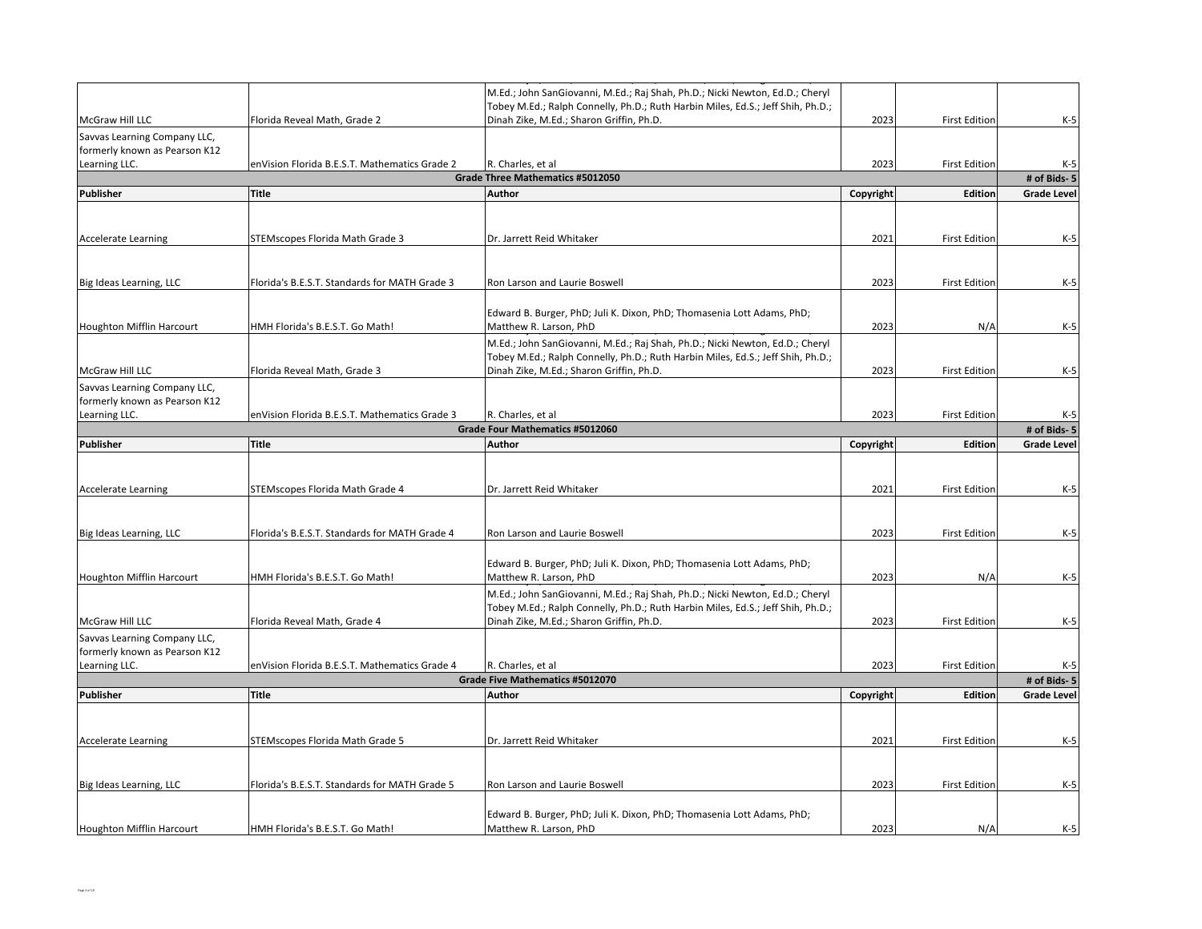|                                                               |                                               | M.Ed.; John SanGiovanni, M.Ed.; Raj Shah, Ph.D.; Nicki Newton, Ed.D.; Cheryl                                                |           |                      |                    |
|---------------------------------------------------------------|-----------------------------------------------|-----------------------------------------------------------------------------------------------------------------------------|-----------|----------------------|--------------------|
| McGraw Hill LLC                                               | Florida Reveal Math, Grade 2                  | Tobey M.Ed.; Ralph Connelly, Ph.D.; Ruth Harbin Miles, Ed.S.; Jeff Shih, Ph.D.;<br>Dinah Zike, M.Ed.; Sharon Griffin, Ph.D. | 2023      | <b>First Edition</b> |                    |
|                                                               |                                               |                                                                                                                             |           |                      | K-5                |
| Savvas Learning Company LLC,<br>formerly known as Pearson K12 |                                               |                                                                                                                             |           |                      |                    |
| Learning LLC.                                                 | enVision Florida B.E.S.T. Mathematics Grade 2 | R. Charles, et al                                                                                                           | 2023      | <b>First Edition</b> | K-5                |
|                                                               |                                               | <b>Grade Three Mathematics #5012050</b>                                                                                     |           |                      | # of Bids-5        |
| Publisher                                                     | Title                                         | Author                                                                                                                      | Copyright | Edition              | <b>Grade Level</b> |
|                                                               |                                               |                                                                                                                             |           |                      |                    |
|                                                               |                                               |                                                                                                                             |           |                      |                    |
| <b>Accelerate Learning</b>                                    | STEMscopes Florida Math Grade 3               | Dr. Jarrett Reid Whitaker                                                                                                   | 2021      | <b>First Edition</b> | K-5                |
|                                                               |                                               |                                                                                                                             |           |                      |                    |
|                                                               |                                               |                                                                                                                             |           |                      |                    |
| Big Ideas Learning, LLC                                       | Florida's B.E.S.T. Standards for MATH Grade 3 | Ron Larson and Laurie Boswell                                                                                               | 2023      | <b>First Edition</b> | $K-5$              |
|                                                               |                                               |                                                                                                                             |           |                      |                    |
|                                                               |                                               | Edward B. Burger, PhD; Juli K. Dixon, PhD; Thomasenia Lott Adams, PhD;                                                      |           |                      |                    |
| Houghton Mifflin Harcourt                                     | HMH Florida's B.E.S.T. Go Math!               | Matthew R. Larson, PhD                                                                                                      | 2023      | N/A                  | $K-5$              |
|                                                               |                                               | M.Ed.; John SanGiovanni, M.Ed.; Raj Shah, Ph.D.; Nicki Newton, Ed.D.; Cheryl                                                |           |                      |                    |
|                                                               |                                               | Tobey M.Ed.; Ralph Connelly, Ph.D.; Ruth Harbin Miles, Ed.S.; Jeff Shih, Ph.D.;                                             |           |                      |                    |
| McGraw Hill LLC                                               | Florida Reveal Math, Grade 3                  | Dinah Zike, M.Ed.; Sharon Griffin, Ph.D.                                                                                    | 2023      | <b>First Edition</b> | K-5                |
| Savvas Learning Company LLC,                                  |                                               |                                                                                                                             |           |                      |                    |
| formerly known as Pearson K12                                 |                                               |                                                                                                                             |           |                      |                    |
| Learning LLC.                                                 | enVision Florida B.E.S.T. Mathematics Grade 3 | R. Charles, et al                                                                                                           | 2023      | <b>First Edition</b> | K-5                |
|                                                               |                                               | Grade Four Mathematics #5012060                                                                                             |           |                      | # of Bids-5        |
| Publisher                                                     | Title                                         | Author                                                                                                                      | Copyright | Edition              | <b>Grade Level</b> |
|                                                               |                                               |                                                                                                                             |           |                      |                    |
| <b>Accelerate Learning</b>                                    | STEMscopes Florida Math Grade 4               | Dr. Jarrett Reid Whitaker                                                                                                   | 2021      | <b>First Edition</b> | K-5                |
|                                                               |                                               |                                                                                                                             |           |                      |                    |
|                                                               |                                               |                                                                                                                             |           |                      |                    |
| Big Ideas Learning, LLC                                       | Florida's B.E.S.T. Standards for MATH Grade 4 | Ron Larson and Laurie Boswell                                                                                               | 2023      | <b>First Edition</b> | K-5                |
|                                                               |                                               |                                                                                                                             |           |                      |                    |
|                                                               |                                               | Edward B. Burger, PhD; Juli K. Dixon, PhD; Thomasenia Lott Adams, PhD;                                                      |           |                      |                    |
| Houghton Mifflin Harcourt                                     | HMH Florida's B.E.S.T. Go Math!               | Matthew R. Larson, PhD                                                                                                      | 2023      | N/A                  | $K-5$              |
|                                                               |                                               | M.Ed.; John SanGiovanni, M.Ed.; Raj Shah, Ph.D.; Nicki Newton, Ed.D.; Cheryl                                                |           |                      |                    |
|                                                               |                                               | Tobey M.Ed.; Ralph Connelly, Ph.D.; Ruth Harbin Miles, Ed.S.; Jeff Shih, Ph.D.;                                             |           |                      |                    |
| McGraw Hill LLC                                               | Florida Reveal Math, Grade 4                  | Dinah Zike, M.Ed.; Sharon Griffin, Ph.D.                                                                                    | 2023      | <b>First Edition</b> | $K-5$              |
| Savvas Learning Company LLC,                                  |                                               |                                                                                                                             |           |                      |                    |
| formerly known as Pearson K12                                 |                                               |                                                                                                                             |           |                      |                    |
| Learning LLC.                                                 | enVision Florida B.E.S.T. Mathematics Grade 4 | R. Charles, et al                                                                                                           | 2023      | <b>First Edition</b> | K-5                |
|                                                               |                                               | Grade Five Mathematics #5012070                                                                                             |           |                      | # of Bids-5        |
| <b>Publisher</b>                                              | Title                                         | Author                                                                                                                      | Copyright | <b>Edition</b>       | <b>Grade Level</b> |
|                                                               |                                               |                                                                                                                             |           |                      |                    |
|                                                               |                                               |                                                                                                                             |           |                      |                    |
| <b>Accelerate Learning</b>                                    | STEMscopes Florida Math Grade 5               | Dr. Jarrett Reid Whitaker                                                                                                   | 2021      | <b>First Edition</b> | K-5                |
|                                                               |                                               |                                                                                                                             |           |                      |                    |
|                                                               |                                               | Ron Larson and Laurie Boswell                                                                                               | 2023      | <b>First Edition</b> |                    |
| Big Ideas Learning, LLC                                       | Florida's B.E.S.T. Standards for MATH Grade 5 |                                                                                                                             |           |                      | K-5                |
|                                                               |                                               | Edward B. Burger, PhD; Juli K. Dixon, PhD; Thomasenia Lott Adams, PhD;                                                      |           |                      |                    |
| <b>Houghton Mifflin Harcourt</b>                              | HMH Florida's B.E.S.T. Go Math!               | Matthew R. Larson, PhD                                                                                                      | 2023      | N/A                  | $K-5$              |
|                                                               |                                               |                                                                                                                             |           |                      |                    |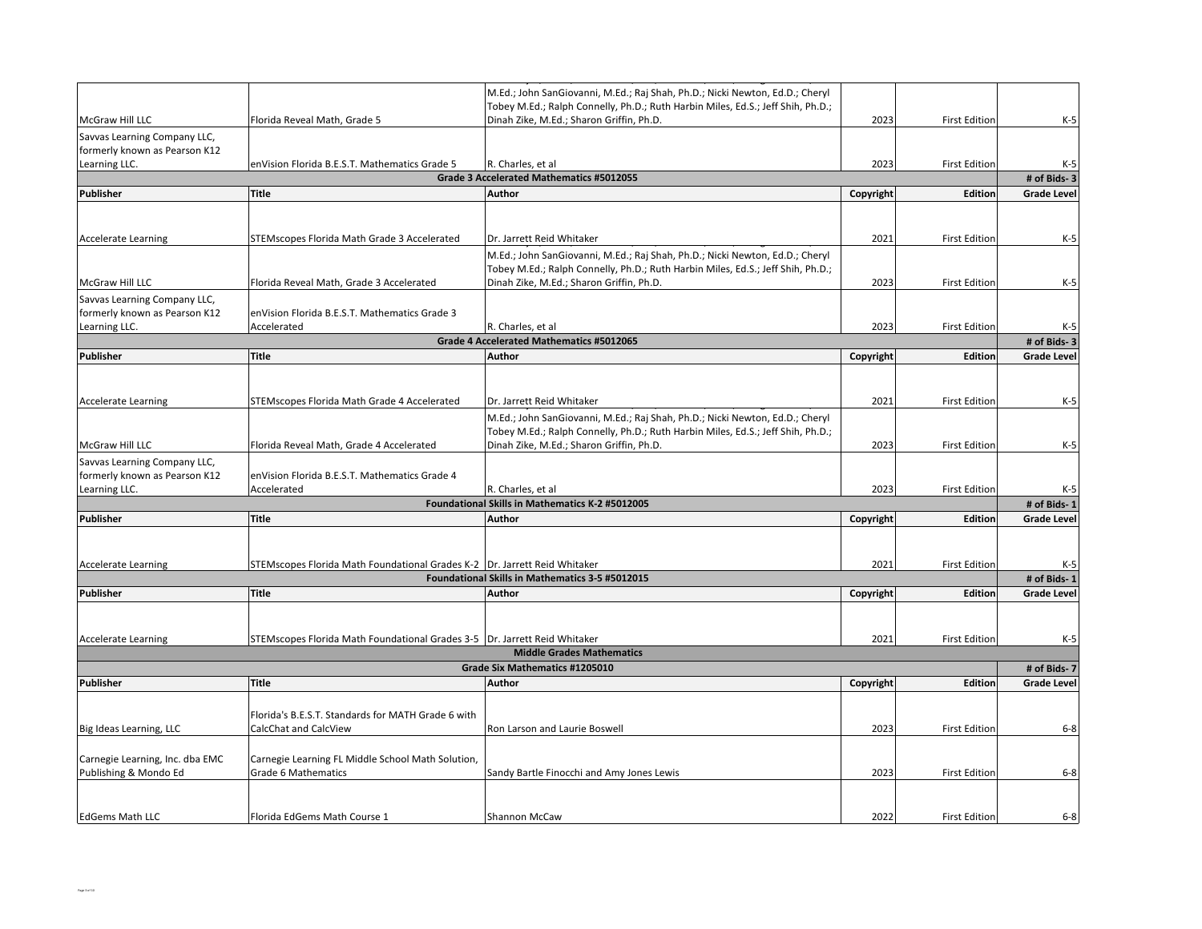|                                 |                                                                             | M.Ed.; John SanGiovanni, M.Ed.; Raj Shah, Ph.D.; Nicki Newton, Ed.D.; Cheryl    |           |                      |                    |
|---------------------------------|-----------------------------------------------------------------------------|---------------------------------------------------------------------------------|-----------|----------------------|--------------------|
|                                 |                                                                             | Tobey M.Ed.; Ralph Connelly, Ph.D.; Ruth Harbin Miles, Ed.S.; Jeff Shih, Ph.D.; |           |                      |                    |
| McGraw Hill LLC                 | Florida Reveal Math, Grade 5                                                | Dinah Zike, M.Ed.; Sharon Griffin, Ph.D.                                        | 2023      | <b>First Edition</b> | K-5                |
| Savvas Learning Company LLC,    |                                                                             |                                                                                 |           |                      |                    |
| formerly known as Pearson K12   |                                                                             |                                                                                 |           |                      |                    |
| Learning LLC.                   | enVision Florida B.E.S.T. Mathematics Grade 5                               | R. Charles, et al                                                               | 2023      | <b>First Edition</b> | K-5                |
|                                 |                                                                             | Grade 3 Accelerated Mathematics #5012055                                        |           |                      | # of Bids-3        |
| Publisher                       | <b>Title</b>                                                                | Author                                                                          | Copyright | Edition              | <b>Grade Level</b> |
|                                 |                                                                             |                                                                                 |           |                      |                    |
|                                 |                                                                             |                                                                                 |           |                      |                    |
| <b>Accelerate Learning</b>      | STEMscopes Florida Math Grade 3 Accelerated                                 | Dr. Jarrett Reid Whitaker                                                       | 2021      | <b>First Edition</b> | K-5                |
|                                 |                                                                             | M.Ed.; John SanGiovanni, M.Ed.; Raj Shah, Ph.D.; Nicki Newton, Ed.D.; Cheryl    |           |                      |                    |
|                                 |                                                                             | Tobey M.Ed.; Ralph Connelly, Ph.D.; Ruth Harbin Miles, Ed.S.; Jeff Shih, Ph.D.; |           |                      |                    |
| McGraw Hill LLC                 | Florida Reveal Math, Grade 3 Accelerated                                    | Dinah Zike, M.Ed.; Sharon Griffin, Ph.D.                                        | 2023      | <b>First Edition</b> | $K-5$              |
| Savvas Learning Company LLC,    |                                                                             |                                                                                 |           |                      |                    |
| formerly known as Pearson K12   | enVision Florida B.E.S.T. Mathematics Grade 3                               |                                                                                 |           |                      |                    |
| Learning LLC.                   | Accelerated                                                                 | R. Charles, et al                                                               | 2023      | <b>First Edition</b> | K-5                |
|                                 |                                                                             | Grade 4 Accelerated Mathematics #5012065                                        |           |                      | # of Bids-3        |
| <b>Publisher</b>                | <b>Title</b>                                                                | Author                                                                          | Copyright | <b>Edition</b>       | <b>Grade Level</b> |
|                                 |                                                                             |                                                                                 |           |                      |                    |
|                                 |                                                                             |                                                                                 |           |                      |                    |
|                                 |                                                                             |                                                                                 |           |                      |                    |
| <b>Accelerate Learning</b>      | STEMscopes Florida Math Grade 4 Accelerated                                 | Dr. Jarrett Reid Whitaker                                                       | 2021      | <b>First Edition</b> | K-5                |
|                                 |                                                                             | M.Ed.; John SanGiovanni, M.Ed.; Raj Shah, Ph.D.; Nicki Newton, Ed.D.; Cheryl    |           |                      |                    |
|                                 |                                                                             | Tobey M.Ed.; Ralph Connelly, Ph.D.; Ruth Harbin Miles, Ed.S.; Jeff Shih, Ph.D.; |           |                      |                    |
| McGraw Hill LLC                 | Florida Reveal Math, Grade 4 Accelerated                                    | Dinah Zike, M.Ed.; Sharon Griffin, Ph.D.                                        | 2023      | <b>First Edition</b> | K-5                |
| Savvas Learning Company LLC,    |                                                                             |                                                                                 |           |                      |                    |
| formerly known as Pearson K12   | enVision Florida B.E.S.T. Mathematics Grade 4                               |                                                                                 |           |                      |                    |
| Learning LLC.                   | Accelerated                                                                 | R. Charles, et al                                                               | 2023      | <b>First Edition</b> | K-5                |
|                                 |                                                                             | Foundational Skills in Mathematics K-2 #5012005                                 |           |                      | # of Bids-1        |
| Publisher                       | <b>Title</b>                                                                | Author                                                                          | Copyright | Edition              | <b>Grade Level</b> |
|                                 |                                                                             |                                                                                 |           |                      |                    |
|                                 |                                                                             |                                                                                 |           |                      |                    |
| <b>Accelerate Learning</b>      | STEMscopes Florida Math Foundational Grades K-2   Dr. Jarrett Reid Whitaker |                                                                                 | 2021      | <b>First Edition</b> | K-5                |
|                                 |                                                                             | Foundational Skills in Mathematics 3-5 #5012015                                 |           |                      | # of Bids-1        |
| Publisher                       | <b>Title</b>                                                                | Author                                                                          | Copyright | <b>Edition</b>       | <b>Grade Level</b> |
|                                 |                                                                             |                                                                                 |           |                      |                    |
|                                 |                                                                             |                                                                                 |           |                      |                    |
| <b>Accelerate Learning</b>      | STEMscopes Florida Math Foundational Grades 3-5   Dr. Jarrett Reid Whitaker |                                                                                 | 2021      | <b>First Edition</b> | K-5                |
|                                 |                                                                             | <b>Middle Grades Mathematics</b>                                                |           |                      |                    |
|                                 |                                                                             | Grade Six Mathematics #1205010                                                  |           |                      | # of Bids-7        |
| <b>Publisher</b>                | <b>Title</b>                                                                | Author                                                                          | Copyright | <b>Edition</b>       | <b>Grade Level</b> |
|                                 |                                                                             |                                                                                 |           |                      |                    |
|                                 |                                                                             |                                                                                 |           |                      |                    |
|                                 | Florida's B.E.S.T. Standards for MATH Grade 6 with                          |                                                                                 |           |                      |                    |
| Big Ideas Learning, LLC         | CalcChat and CalcView                                                       | Ron Larson and Laurie Boswell                                                   | 2023      | <b>First Edition</b> | $6 - 8$            |
|                                 |                                                                             |                                                                                 |           |                      |                    |
| Carnegie Learning, Inc. dba EMC | Carnegie Learning FL Middle School Math Solution,                           |                                                                                 |           |                      |                    |
| Publishing & Mondo Ed           | <b>Grade 6 Mathematics</b>                                                  | Sandy Bartle Finocchi and Amy Jones Lewis                                       | 2023      | <b>First Edition</b> | $6 - 8$            |
|                                 |                                                                             |                                                                                 |           |                      |                    |
|                                 |                                                                             |                                                                                 |           |                      |                    |
| <b>EdGems Math LLC</b>          | Florida EdGems Math Course 1                                                | <b>Shannon McCaw</b>                                                            | 2022      | <b>First Edition</b> | $6 - 8$            |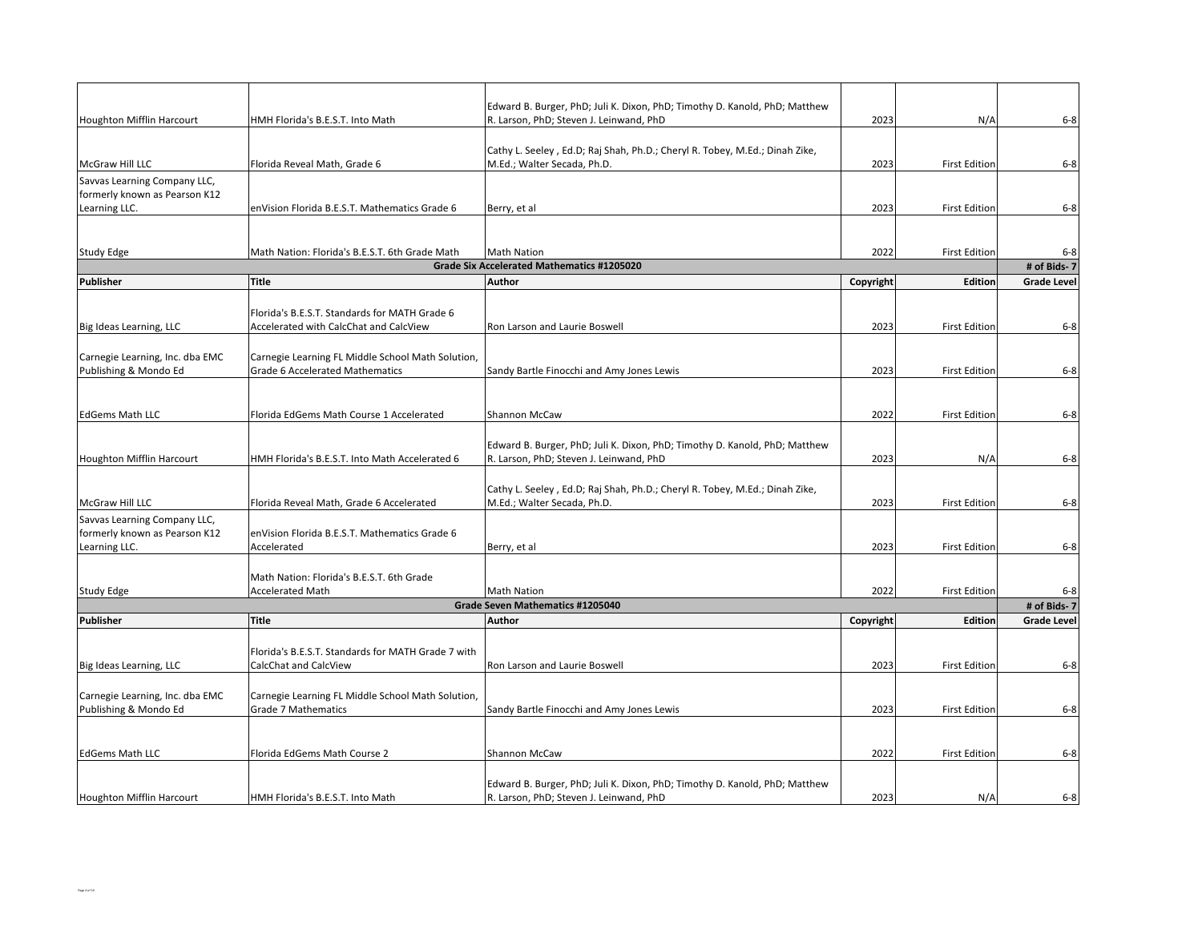|                                 |                                                    | Edward B. Burger, PhD; Juli K. Dixon, PhD; Timothy D. Kanold, PhD; Matthew  |           |                      |                    |
|---------------------------------|----------------------------------------------------|-----------------------------------------------------------------------------|-----------|----------------------|--------------------|
| Houghton Mifflin Harcourt       | HMH Florida's B.E.S.T. Into Math                   | R. Larson, PhD; Steven J. Leinwand, PhD                                     | 2023      | N/A                  | $6 - 8$            |
|                                 |                                                    |                                                                             |           |                      |                    |
|                                 |                                                    | Cathy L. Seeley, Ed.D; Raj Shah, Ph.D.; Cheryl R. Tobey, M.Ed.; Dinah Zike, |           |                      |                    |
| McGraw Hill LLC                 | Florida Reveal Math, Grade 6                       | M.Ed.; Walter Secada, Ph.D.                                                 | 2023      | <b>First Edition</b> | $6 - 8$            |
| Savvas Learning Company LLC,    |                                                    |                                                                             |           |                      |                    |
| formerly known as Pearson K12   |                                                    |                                                                             |           |                      |                    |
| Learning LLC.                   | enVision Florida B.E.S.T. Mathematics Grade 6      | Berry, et al                                                                | 2023      | <b>First Edition</b> | $6 - 8$            |
|                                 |                                                    |                                                                             |           |                      |                    |
| <b>Study Edge</b>               | Math Nation: Florida's B.E.S.T. 6th Grade Math     | Math Nation                                                                 | 2022      | <b>First Edition</b> | $6 - 8$            |
|                                 |                                                    | <b>Grade Six Accelerated Mathematics #1205020</b>                           |           |                      | # of Bids-7        |
| <b>Publisher</b>                | <b>Title</b>                                       | Author                                                                      | Copyright | Edition              | <b>Grade Level</b> |
|                                 |                                                    |                                                                             |           |                      |                    |
|                                 | Florida's B.E.S.T. Standards for MATH Grade 6      |                                                                             |           |                      |                    |
| Big Ideas Learning, LLC         | Accelerated with CalcChat and CalcView             | Ron Larson and Laurie Boswell                                               | 2023      | <b>First Edition</b> | $6 - 8$            |
|                                 |                                                    |                                                                             |           |                      |                    |
| Carnegie Learning, Inc. dba EMC | Carnegie Learning FL Middle School Math Solution,  |                                                                             |           |                      |                    |
| Publishing & Mondo Ed           | <b>Grade 6 Accelerated Mathematics</b>             | Sandy Bartle Finocchi and Amy Jones Lewis                                   | 2023      | <b>First Edition</b> | $6 - 8$            |
|                                 |                                                    |                                                                             |           |                      |                    |
|                                 |                                                    |                                                                             |           |                      |                    |
| <b>EdGems Math LLC</b>          | Florida EdGems Math Course 1 Accelerated           | Shannon McCaw                                                               | 2022      | <b>First Edition</b> | $6 - 8$            |
|                                 |                                                    |                                                                             |           |                      |                    |
|                                 |                                                    | Edward B. Burger, PhD; Juli K. Dixon, PhD; Timothy D. Kanold, PhD; Matthew  |           |                      |                    |
| Houghton Mifflin Harcourt       | HMH Florida's B.E.S.T. Into Math Accelerated 6     | R. Larson, PhD; Steven J. Leinwand, PhD                                     | 2023      | N/A                  | $6 - 8$            |
|                                 |                                                    |                                                                             |           |                      |                    |
|                                 |                                                    | Cathy L. Seeley, Ed.D; Raj Shah, Ph.D.; Cheryl R. Tobey, M.Ed.; Dinah Zike, |           |                      |                    |
| McGraw Hill LLC                 | Florida Reveal Math, Grade 6 Accelerated           | M.Ed.; Walter Secada, Ph.D.                                                 | 2023      | <b>First Edition</b> | $6 - 8$            |
| Savvas Learning Company LLC,    |                                                    |                                                                             |           |                      |                    |
| formerly known as Pearson K12   | enVision Florida B.E.S.T. Mathematics Grade 6      |                                                                             |           |                      |                    |
| Learning LLC.                   | Accelerated                                        | Berry, et al                                                                | 2023      | <b>First Edition</b> | $6 - 8$            |
|                                 |                                                    |                                                                             |           |                      |                    |
|                                 | Math Nation: Florida's B.E.S.T. 6th Grade          |                                                                             |           |                      |                    |
| <b>Study Edge</b>               | <b>Accelerated Math</b>                            | Math Nation                                                                 | 2022      | <b>First Edition</b> | $6 - 8$            |
|                                 |                                                    | <b>Grade Seven Mathematics #1205040</b>                                     |           |                      | # of Bids-7        |
| <b>Publisher</b>                | <b>Title</b>                                       | Author                                                                      | Copyright | <b>Edition</b>       | <b>Grade Level</b> |
|                                 |                                                    |                                                                             |           |                      |                    |
|                                 | Florida's B.E.S.T. Standards for MATH Grade 7 with |                                                                             |           |                      |                    |
| Big Ideas Learning, LLC         | CalcChat and CalcView                              | Ron Larson and Laurie Boswell                                               | 2023      | <b>First Edition</b> | $6 - 8$            |
|                                 |                                                    |                                                                             |           |                      |                    |
| Carnegie Learning, Inc. dba EMC | Carnegie Learning FL Middle School Math Solution,  |                                                                             |           |                      |                    |
| Publishing & Mondo Ed           | Grade 7 Mathematics                                | Sandy Bartle Finocchi and Amy Jones Lewis                                   | 2023      | <b>First Edition</b> | $6 - 8$            |
|                                 |                                                    |                                                                             |           |                      |                    |
|                                 |                                                    |                                                                             |           |                      |                    |
| <b>EdGems Math LLC</b>          | Florida EdGems Math Course 2                       | Shannon McCaw                                                               | 2022      | <b>First Edition</b> | $6 - 8$            |
|                                 |                                                    |                                                                             |           |                      |                    |
|                                 |                                                    | Edward B. Burger, PhD; Juli K. Dixon, PhD; Timothy D. Kanold, PhD; Matthew  |           |                      |                    |
| Houghton Mifflin Harcourt       | HMH Florida's B.E.S.T. Into Math                   | R. Larson, PhD; Steven J. Leinwand, PhD                                     | 2023      | N/A                  | $6 - 8$            |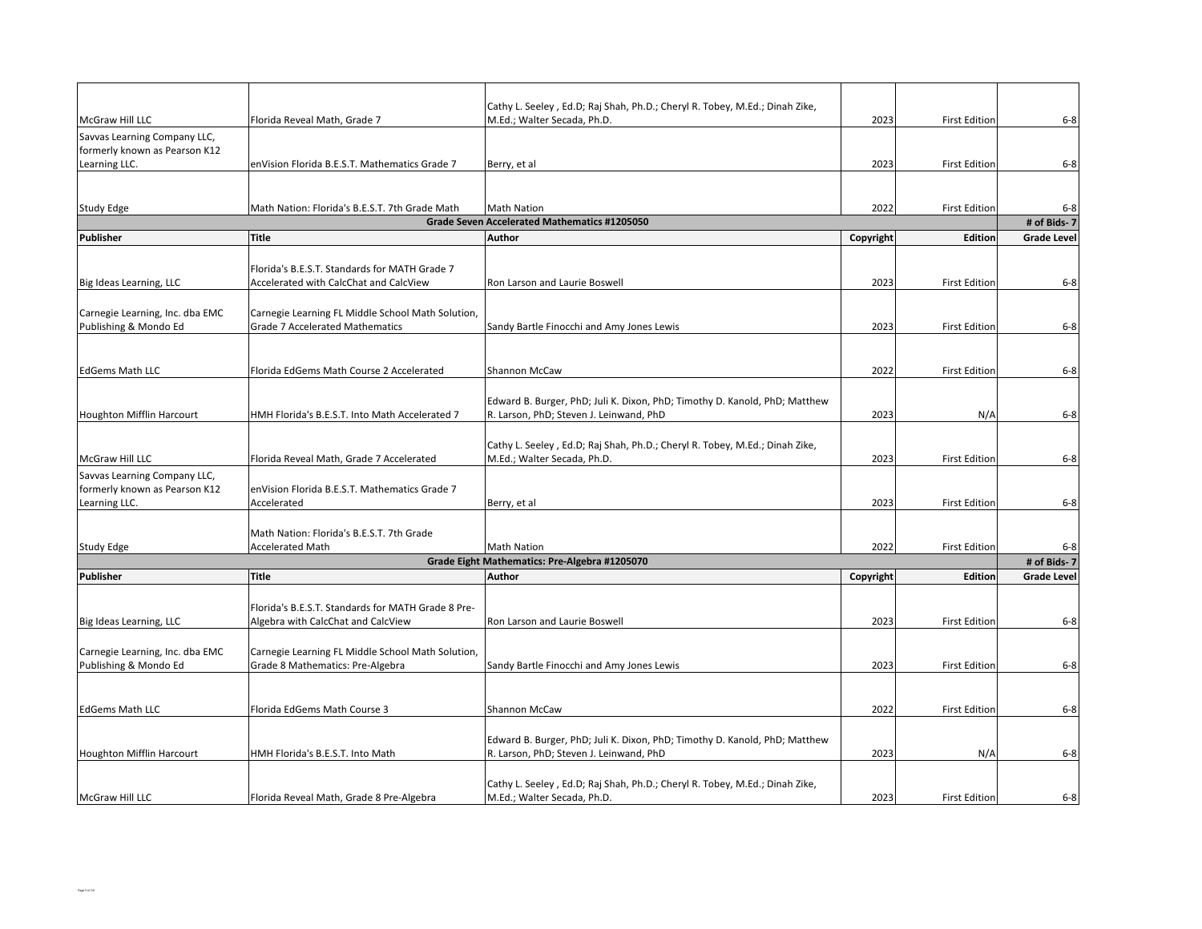|                                                               |                                                                                         | Cathy L. Seeley, Ed.D; Raj Shah, Ph.D.; Cheryl R. Tobey, M.Ed.; Dinah Zike,                                           |           |                      |                    |
|---------------------------------------------------------------|-----------------------------------------------------------------------------------------|-----------------------------------------------------------------------------------------------------------------------|-----------|----------------------|--------------------|
| McGraw Hill LLC                                               | Florida Reveal Math, Grade 7                                                            | M.Ed.; Walter Secada, Ph.D.                                                                                           | 2023      | <b>First Edition</b> | $6 - 8$            |
| Savvas Learning Company LLC,<br>formerly known as Pearson K12 |                                                                                         |                                                                                                                       |           |                      |                    |
| Learning LLC.                                                 | enVision Florida B.E.S.T. Mathematics Grade 7                                           | Berry, et al                                                                                                          | 2023      | <b>First Edition</b> | $6 - 8$            |
|                                                               |                                                                                         |                                                                                                                       |           |                      |                    |
|                                                               |                                                                                         |                                                                                                                       |           |                      |                    |
| <b>Study Edge</b>                                             | Math Nation: Florida's B.E.S.T. 7th Grade Math                                          | <b>Math Nation</b>                                                                                                    | 2022      | <b>First Edition</b> | $6 - 8$            |
|                                                               |                                                                                         | Grade Seven Accelerated Mathematics #1205050                                                                          |           |                      | # of Bids-7        |
| Publisher                                                     | Title                                                                                   | Author                                                                                                                | Copyright | Edition              | <b>Grade Level</b> |
|                                                               |                                                                                         |                                                                                                                       |           |                      |                    |
| Big Ideas Learning, LLC                                       | Florida's B.E.S.T. Standards for MATH Grade 7<br>Accelerated with CalcChat and CalcView | Ron Larson and Laurie Boswell                                                                                         | 2023      | <b>First Edition</b> | $6 - 8$            |
|                                                               |                                                                                         |                                                                                                                       |           |                      |                    |
| Carnegie Learning, Inc. dba EMC                               | Carnegie Learning FL Middle School Math Solution,                                       |                                                                                                                       |           |                      |                    |
| Publishing & Mondo Ed                                         | <b>Grade 7 Accelerated Mathematics</b>                                                  | Sandy Bartle Finocchi and Amy Jones Lewis                                                                             | 2023      | <b>First Edition</b> | $6 - 8$            |
|                                                               |                                                                                         |                                                                                                                       |           |                      |                    |
|                                                               |                                                                                         |                                                                                                                       |           |                      |                    |
| <b>EdGems Math LLC</b>                                        | Florida EdGems Math Course 2 Accelerated                                                | Shannon McCaw                                                                                                         | 2022      | <b>First Edition</b> | $6 - 8$            |
|                                                               |                                                                                         |                                                                                                                       |           |                      |                    |
| Houghton Mifflin Harcourt                                     | HMH Florida's B.E.S.T. Into Math Accelerated 7                                          | Edward B. Burger, PhD; Juli K. Dixon, PhD; Timothy D. Kanold, PhD; Matthew<br>R. Larson, PhD; Steven J. Leinwand, PhD | 2023      | N/A                  | $6 - 8$            |
|                                                               |                                                                                         |                                                                                                                       |           |                      |                    |
|                                                               |                                                                                         | Cathy L. Seeley, Ed.D; Raj Shah, Ph.D.; Cheryl R. Tobey, M.Ed.; Dinah Zike,                                           |           |                      |                    |
| McGraw Hill LLC                                               | Florida Reveal Math, Grade 7 Accelerated                                                | M.Ed.; Walter Secada, Ph.D.                                                                                           | 2023      | <b>First Edition</b> | $6 - 8$            |
| Savvas Learning Company LLC,                                  |                                                                                         |                                                                                                                       |           |                      |                    |
| formerly known as Pearson K12                                 | enVision Florida B.E.S.T. Mathematics Grade 7                                           |                                                                                                                       |           |                      |                    |
| Learning LLC.                                                 | Accelerated                                                                             | Berry, et al                                                                                                          | 2023      | <b>First Edition</b> | $6 - 8$            |
|                                                               |                                                                                         |                                                                                                                       |           |                      |                    |
| Study Edge                                                    | Math Nation: Florida's B.E.S.T. 7th Grade<br><b>Accelerated Math</b>                    | Math Nation                                                                                                           | 2022      | <b>First Edition</b> | $6 - 8$            |
|                                                               |                                                                                         | Grade Eight Mathematics: Pre-Algebra #1205070                                                                         |           |                      | # of Bids-7        |
| <b>Publisher</b>                                              | Title                                                                                   | Author                                                                                                                | Copyright | Edition              | <b>Grade Level</b> |
|                                                               |                                                                                         |                                                                                                                       |           |                      |                    |
|                                                               | Florida's B.E.S.T. Standards for MATH Grade 8 Pre-                                      |                                                                                                                       |           |                      |                    |
| Big Ideas Learning, LLC                                       | Algebra with CalcChat and CalcView                                                      | Ron Larson and Laurie Boswell                                                                                         | 2023      | <b>First Edition</b> | $6 - 8$            |
|                                                               |                                                                                         |                                                                                                                       |           |                      |                    |
| Carnegie Learning, Inc. dba EMC                               | Carnegie Learning FL Middle School Math Solution,                                       |                                                                                                                       | 2023      | <b>First Edition</b> |                    |
| Publishing & Mondo Ed                                         | Grade 8 Mathematics: Pre-Algebra                                                        | Sandy Bartle Finocchi and Amy Jones Lewis                                                                             |           |                      | $6 - 8$            |
|                                                               |                                                                                         |                                                                                                                       |           |                      |                    |
| <b>EdGems Math LLC</b>                                        | Florida EdGems Math Course 3                                                            | Shannon McCaw                                                                                                         | 2022      | <b>First Edition</b> | $6 - 8$            |
|                                                               |                                                                                         |                                                                                                                       |           |                      |                    |
|                                                               |                                                                                         | Edward B. Burger, PhD; Juli K. Dixon, PhD; Timothy D. Kanold, PhD; Matthew                                            |           |                      |                    |
| Houghton Mifflin Harcourt                                     | HMH Florida's B.E.S.T. Into Math                                                        | R. Larson, PhD; Steven J. Leinwand, PhD                                                                               | 2023      | N/A                  | $6 - 8$            |
|                                                               |                                                                                         |                                                                                                                       |           |                      |                    |
| McGraw Hill LLC                                               | Florida Reveal Math, Grade 8 Pre-Algebra                                                | Cathy L. Seeley, Ed.D; Raj Shah, Ph.D.; Cheryl R. Tobey, M.Ed.; Dinah Zike,<br>M.Ed.; Walter Secada, Ph.D.            | 2023      | <b>First Edition</b> | $6 - 8$            |
|                                                               |                                                                                         |                                                                                                                       |           |                      |                    |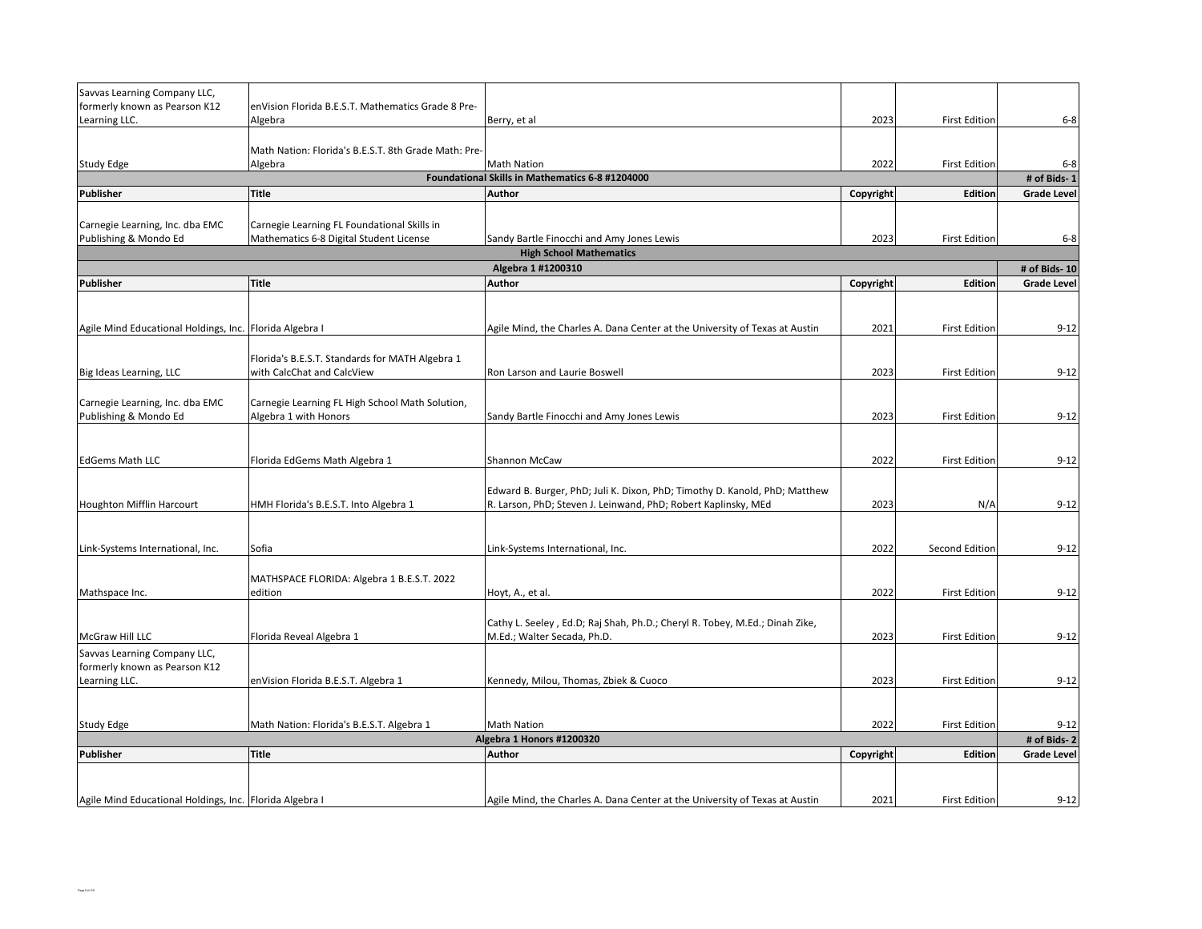| Savvas Learning Company LLC,                                  |                                                                                        |                                                                             |           |                      |                    |
|---------------------------------------------------------------|----------------------------------------------------------------------------------------|-----------------------------------------------------------------------------|-----------|----------------------|--------------------|
| formerly known as Pearson K12<br>Learning LLC.                | enVision Florida B.E.S.T. Mathematics Grade 8 Pre-                                     |                                                                             | 2023      | <b>First Edition</b> | $6 - 8$            |
|                                                               | Algebra                                                                                | Berry, et al                                                                |           |                      |                    |
|                                                               | Math Nation: Florida's B.E.S.T. 8th Grade Math: Pre-                                   |                                                                             |           |                      |                    |
| <b>Study Edge</b>                                             | Algebra                                                                                | Math Nation                                                                 | 2022      | <b>First Edition</b> | $6 - 8$            |
|                                                               |                                                                                        | Foundational Skills in Mathematics 6-8 #1204000                             |           |                      | # of Bids-1        |
| <b>Publisher</b>                                              | Title                                                                                  | Author                                                                      | Copyright | Edition              | <b>Grade Level</b> |
|                                                               |                                                                                        |                                                                             |           |                      |                    |
| Carnegie Learning, Inc. dba EMC<br>Publishing & Mondo Ed      | Carnegie Learning FL Foundational Skills in<br>Mathematics 6-8 Digital Student License | Sandy Bartle Finocchi and Amy Jones Lewis                                   | 2023      | <b>First Edition</b> | $6 - 8$            |
|                                                               |                                                                                        | <b>High School Mathematics</b>                                              |           |                      |                    |
|                                                               |                                                                                        | Algebra 1 #1200310                                                          |           |                      | # of Bids-10       |
| Publisher                                                     | <b>Title</b>                                                                           | Author<br>Edition<br>Copyright                                              |           |                      | <b>Grade Level</b> |
|                                                               |                                                                                        |                                                                             |           |                      |                    |
|                                                               |                                                                                        |                                                                             |           |                      |                    |
| Agile Mind Educational Holdings, Inc. Florida Algebra I       |                                                                                        | Agile Mind, the Charles A. Dana Center at the University of Texas at Austin | 2021      | <b>First Edition</b> | $9 - 12$           |
|                                                               |                                                                                        |                                                                             |           |                      |                    |
|                                                               | Florida's B.E.S.T. Standards for MATH Algebra 1                                        |                                                                             |           |                      |                    |
| Big Ideas Learning, LLC                                       | with CalcChat and CalcView                                                             | Ron Larson and Laurie Boswell                                               | 2023      | <b>First Edition</b> | $9 - 12$           |
| Carnegie Learning, Inc. dba EMC                               | Carnegie Learning FL High School Math Solution,                                        |                                                                             |           |                      |                    |
| Publishing & Mondo Ed                                         | Algebra 1 with Honors                                                                  | Sandy Bartle Finocchi and Amy Jones Lewis                                   | 2023      | <b>First Edition</b> | $9 - 12$           |
|                                                               |                                                                                        |                                                                             |           |                      |                    |
|                                                               |                                                                                        |                                                                             |           |                      |                    |
| <b>EdGems Math LLC</b>                                        | Florida EdGems Math Algebra 1                                                          | Shannon McCaw                                                               | 2022      | <b>First Edition</b> | $9 - 12$           |
|                                                               |                                                                                        |                                                                             |           |                      |                    |
|                                                               |                                                                                        | Edward B. Burger, PhD; Juli K. Dixon, PhD; Timothy D. Kanold, PhD; Matthew  |           |                      |                    |
| Houghton Mifflin Harcourt                                     | HMH Florida's B.E.S.T. Into Algebra 1                                                  | R. Larson, PhD; Steven J. Leinwand, PhD; Robert Kaplinsky, MEd              | 2023      | N/A                  | $9 - 12$           |
|                                                               |                                                                                        |                                                                             |           |                      |                    |
| Link-Systems International, Inc.                              | Sofia                                                                                  | Link-Systems International, Inc.                                            | 2022      | Second Edition       | $9 - 12$           |
|                                                               |                                                                                        |                                                                             |           |                      |                    |
|                                                               | MATHSPACE FLORIDA: Algebra 1 B.E.S.T. 2022                                             |                                                                             |           |                      |                    |
| Mathspace Inc.                                                | edition                                                                                | Hoyt, A., et al.                                                            | 2022      | <b>First Edition</b> | $9 - 12$           |
|                                                               |                                                                                        |                                                                             |           |                      |                    |
|                                                               |                                                                                        | Cathy L. Seeley, Ed.D; Raj Shah, Ph.D.; Cheryl R. Tobey, M.Ed.; Dinah Zike, | 2023      |                      |                    |
| McGraw Hill LLC                                               | Florida Reveal Algebra 1                                                               | M.Ed.; Walter Secada, Ph.D.                                                 |           | <b>First Edition</b> | $9 - 12$           |
| Savvas Learning Company LLC,<br>formerly known as Pearson K12 |                                                                                        |                                                                             |           |                      |                    |
| Learning LLC.                                                 | enVision Florida B.E.S.T. Algebra 1                                                    | Kennedy, Milou, Thomas, Zbiek & Cuoco                                       | 2023      | <b>First Edition</b> | $9 - 12$           |
|                                                               |                                                                                        |                                                                             |           |                      |                    |
|                                                               |                                                                                        |                                                                             |           |                      |                    |
| <b>Study Edge</b>                                             | Math Nation: Florida's B.E.S.T. Algebra 1                                              | <b>Math Nation</b>                                                          | 2022      | <b>First Edition</b> | $9 - 12$           |
|                                                               |                                                                                        | Algebra 1 Honors #1200320                                                   |           |                      | # of Bids-2        |
| <b>Publisher</b>                                              | <b>Title</b>                                                                           | Author                                                                      | Copyright | <b>Edition</b>       | <b>Grade Level</b> |
|                                                               |                                                                                        |                                                                             |           |                      |                    |
| Agile Mind Educational Holdings, Inc. Florida Algebra I       |                                                                                        | Agile Mind, the Charles A. Dana Center at the University of Texas at Austin | 2021      | <b>First Edition</b> | $9 - 12$           |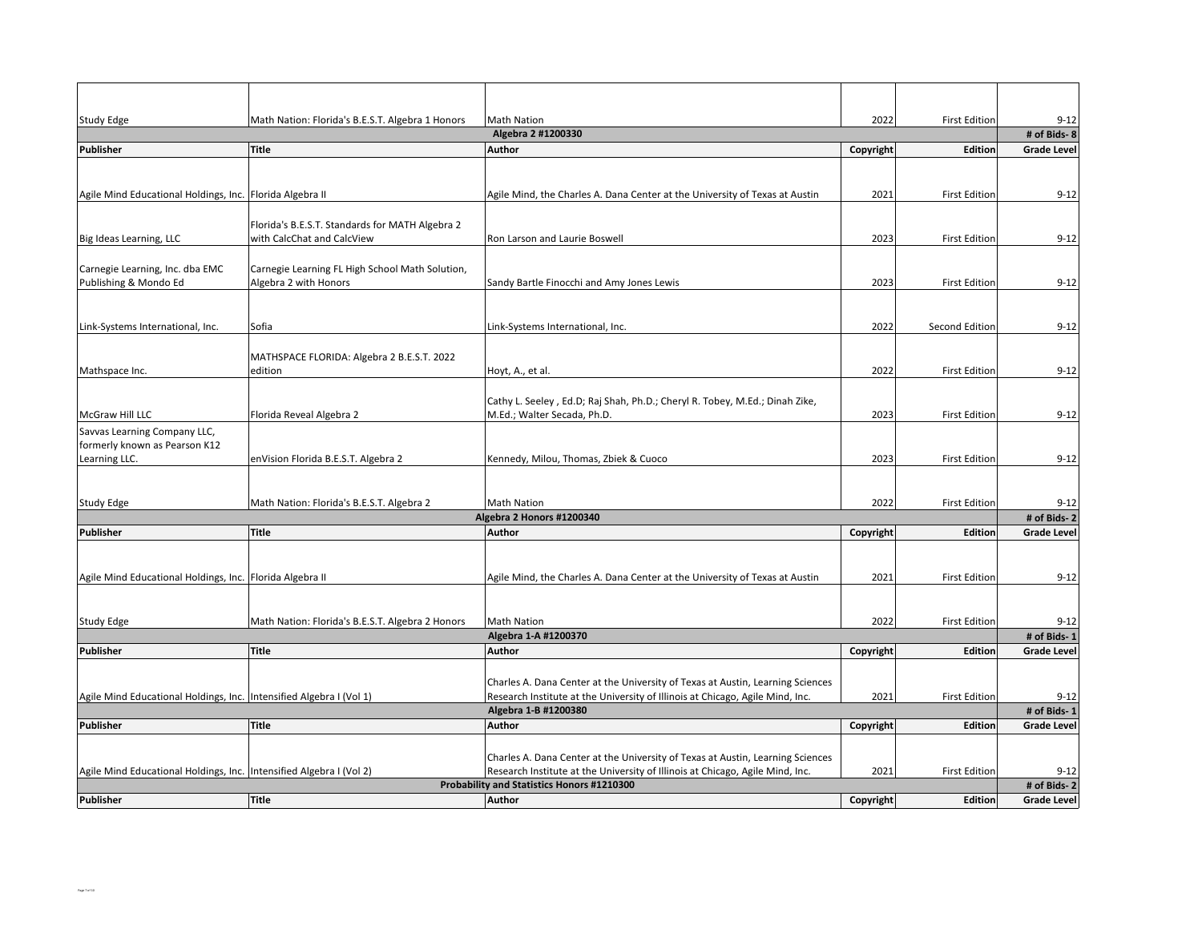| <b>Study Edge</b>                                                     | Math Nation: Florida's B.E.S.T. Algebra 1 Honors | <b>Math Nation</b>                                                                                                                                              | 2022      | <b>First Edition</b> | $9 - 12$                |
|-----------------------------------------------------------------------|--------------------------------------------------|-----------------------------------------------------------------------------------------------------------------------------------------------------------------|-----------|----------------------|-------------------------|
|                                                                       |                                                  | Algebra 2 #1200330                                                                                                                                              |           |                      | # of Bids-8             |
| <b>Publisher</b>                                                      | Title                                            | Author                                                                                                                                                          | Copyright | Edition              | <b>Grade Level</b>      |
|                                                                       |                                                  |                                                                                                                                                                 |           |                      |                         |
|                                                                       |                                                  |                                                                                                                                                                 |           |                      |                         |
| Agile Mind Educational Holdings, Inc. Florida Algebra II              |                                                  | Agile Mind, the Charles A. Dana Center at the University of Texas at Austin                                                                                     | 2021      | <b>First Edition</b> | $9 - 12$                |
|                                                                       |                                                  |                                                                                                                                                                 |           |                      |                         |
|                                                                       | Florida's B.E.S.T. Standards for MATH Algebra 2  |                                                                                                                                                                 |           |                      |                         |
| Big Ideas Learning, LLC                                               | with CalcChat and CalcView                       | Ron Larson and Laurie Boswell                                                                                                                                   | 2023      | <b>First Edition</b> | $9 - 12$                |
|                                                                       |                                                  |                                                                                                                                                                 |           |                      |                         |
| Carnegie Learning, Inc. dba EMC                                       | Carnegie Learning FL High School Math Solution,  |                                                                                                                                                                 |           |                      |                         |
| Publishing & Mondo Ed                                                 | Algebra 2 with Honors                            | Sandy Bartle Finocchi and Amy Jones Lewis                                                                                                                       | 2023      | <b>First Edition</b> | $9 - 12$                |
|                                                                       |                                                  |                                                                                                                                                                 |           |                      |                         |
|                                                                       |                                                  |                                                                                                                                                                 |           |                      |                         |
| Link-Systems International, Inc.                                      | Sofia                                            | Link-Systems International, Inc.                                                                                                                                | 2022      | Second Edition       | $9 - 12$                |
|                                                                       |                                                  |                                                                                                                                                                 |           |                      |                         |
|                                                                       | MATHSPACE FLORIDA: Algebra 2 B.E.S.T. 2022       |                                                                                                                                                                 |           |                      |                         |
| Mathspace Inc.                                                        | edition                                          | Hoyt, A., et al.                                                                                                                                                | 2022      | <b>First Edition</b> | $9 - 12$                |
|                                                                       |                                                  |                                                                                                                                                                 |           |                      |                         |
|                                                                       |                                                  | Cathy L. Seeley, Ed.D; Raj Shah, Ph.D.; Cheryl R. Tobey, M.Ed.; Dinah Zike,                                                                                     |           |                      |                         |
| McGraw Hill LLC                                                       | Florida Reveal Algebra 2                         | M.Ed.; Walter Secada, Ph.D.                                                                                                                                     | 2023      | <b>First Edition</b> | $9 - 12$                |
| Savvas Learning Company LLC,                                          |                                                  |                                                                                                                                                                 |           |                      |                         |
| formerly known as Pearson K12                                         |                                                  |                                                                                                                                                                 |           |                      |                         |
| Learning LLC.                                                         | enVision Florida B.E.S.T. Algebra 2              | Kennedy, Milou, Thomas, Zbiek & Cuoco                                                                                                                           | 2023      | <b>First Edition</b> | $9 - 12$                |
|                                                                       |                                                  |                                                                                                                                                                 |           |                      |                         |
|                                                                       |                                                  |                                                                                                                                                                 |           |                      |                         |
| Study Edge                                                            | Math Nation: Florida's B.E.S.T. Algebra 2        | <b>Math Nation</b>                                                                                                                                              | 2022      | <b>First Edition</b> | $9 - 12$                |
|                                                                       |                                                  | Algebra 2 Honors #1200340                                                                                                                                       |           |                      | # of Bids-2             |
| Publisher                                                             | Title                                            | Author                                                                                                                                                          | Copyright | <b>Edition</b>       | <b>Grade Level</b>      |
|                                                                       |                                                  |                                                                                                                                                                 |           |                      |                         |
|                                                                       |                                                  |                                                                                                                                                                 |           |                      |                         |
| Agile Mind Educational Holdings, Inc. Florida Algebra II              |                                                  | Agile Mind, the Charles A. Dana Center at the University of Texas at Austin                                                                                     | 2021      | <b>First Edition</b> | $9 - 12$                |
|                                                                       |                                                  |                                                                                                                                                                 |           |                      |                         |
|                                                                       |                                                  |                                                                                                                                                                 | 2022      |                      |                         |
| Study Edge                                                            | Math Nation: Florida's B.E.S.T. Algebra 2 Honors | <b>Math Nation</b><br>Algebra 1-A #1200370                                                                                                                      |           | <b>First Edition</b> | $9 - 12$<br># of Bids-1 |
| Publisher                                                             | Title                                            | Author                                                                                                                                                          | Copyright | Edition              | <b>Grade Level</b>      |
|                                                                       |                                                  |                                                                                                                                                                 |           |                      |                         |
|                                                                       |                                                  |                                                                                                                                                                 |           |                      |                         |
| Agile Mind Educational Holdings, Inc. Intensified Algebra I (Vol 1)   |                                                  | Charles A. Dana Center at the University of Texas at Austin, Learning Sciences<br>Research Institute at the University of Illinois at Chicago, Agile Mind, Inc. | 2021      | <b>First Edition</b> | $9 - 12$                |
|                                                                       |                                                  | Algebra 1-B #1200380                                                                                                                                            |           |                      | # of Bids-1             |
| <b>Publisher</b>                                                      | Title                                            | Author                                                                                                                                                          | Copyright | Edition              | <b>Grade Level</b>      |
|                                                                       |                                                  |                                                                                                                                                                 |           |                      |                         |
|                                                                       |                                                  | Charles A. Dana Center at the University of Texas at Austin, Learning Sciences                                                                                  |           |                      |                         |
| Agile Mind Educational Holdings, Inc.   Intensified Algebra I (Vol 2) |                                                  | Research Institute at the University of Illinois at Chicago, Agile Mind, Inc.                                                                                   | 2021      | <b>First Edition</b> | $9 - 12$                |
|                                                                       |                                                  | Probability and Statistics Honors #1210300                                                                                                                      |           |                      | # of Bids-2             |
| Publisher                                                             | Title                                            | Author                                                                                                                                                          | Copyright | Edition              | <b>Grade Level</b>      |
|                                                                       |                                                  |                                                                                                                                                                 |           |                      |                         |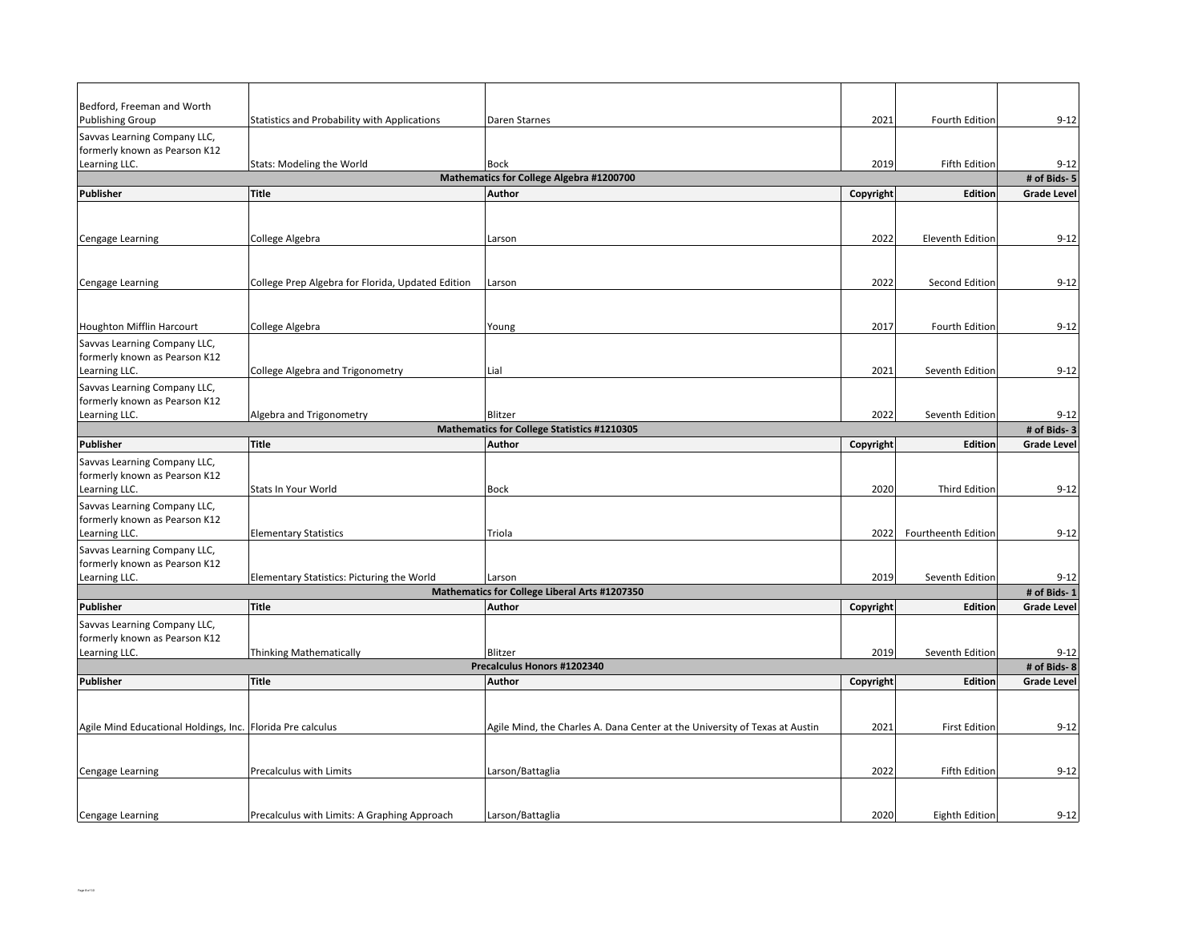| Bedford, Freeman and Worth                                    |                                                   |                                                                             | 2021      | Fourth Edition        | $9 - 12$           |
|---------------------------------------------------------------|---------------------------------------------------|-----------------------------------------------------------------------------|-----------|-----------------------|--------------------|
| <b>Publishing Group</b><br>Savvas Learning Company LLC,       | Statistics and Probability with Applications      | Daren Starnes                                                               |           |                       |                    |
| formerly known as Pearson K12                                 |                                                   |                                                                             |           |                       |                    |
| Learning LLC.                                                 | <b>Stats: Modeling the World</b>                  | <b>Bock</b>                                                                 | 2019      | Fifth Edition         | $9 - 12$           |
|                                                               |                                                   | Mathematics for College Algebra #1200700                                    |           |                       | # of Bids-5        |
| Publisher                                                     | Title                                             | Author                                                                      | Copyright | Edition               | <b>Grade Level</b> |
|                                                               |                                                   |                                                                             |           |                       |                    |
|                                                               | College Algebra                                   | Larson                                                                      | 2022      | Eleventh Edition      | $9 - 12$           |
| Cengage Learning                                              |                                                   |                                                                             |           |                       |                    |
|                                                               |                                                   |                                                                             |           |                       |                    |
| Cengage Learning                                              | College Prep Algebra for Florida, Updated Edition | Larson                                                                      | 2022      | Second Edition        | $9 - 12$           |
|                                                               |                                                   |                                                                             |           |                       |                    |
|                                                               |                                                   |                                                                             |           |                       |                    |
| Houghton Mifflin Harcourt                                     | College Algebra                                   | Young                                                                       | 2017      | Fourth Edition        | $9 - 12$           |
| Savvas Learning Company LLC,                                  |                                                   |                                                                             |           |                       |                    |
| formerly known as Pearson K12<br>Learning LLC.                | College Algebra and Trigonometry                  | Lial                                                                        | 2021      | Seventh Edition       | $9 - 12$           |
| Savvas Learning Company LLC,                                  |                                                   |                                                                             |           |                       |                    |
| formerly known as Pearson K12                                 |                                                   |                                                                             |           |                       |                    |
| Learning LLC.                                                 | Algebra and Trigonometry                          | Blitzer                                                                     | 2022      | Seventh Edition       | $9 - 12$           |
|                                                               |                                                   | <b>Mathematics for College Statistics #1210305</b>                          |           |                       | # of Bids-3        |
| <b>Publisher</b>                                              | Title                                             | Author                                                                      | Copyright | <b>Edition</b>        | <b>Grade Level</b> |
| Savvas Learning Company LLC,                                  |                                                   |                                                                             |           |                       |                    |
| formerly known as Pearson K12                                 |                                                   |                                                                             |           |                       |                    |
| Learning LLC.                                                 | Stats In Your World                               | <b>Bock</b>                                                                 | 2020      | <b>Third Edition</b>  | $9 - 12$           |
| Savvas Learning Company LLC,<br>formerly known as Pearson K12 |                                                   |                                                                             |           |                       |                    |
| Learning LLC.                                                 | <b>Elementary Statistics</b>                      | Triola                                                                      | 2022      | Fourtheenth Edition   | $9 - 12$           |
| Savvas Learning Company LLC,                                  |                                                   |                                                                             |           |                       |                    |
| formerly known as Pearson K12                                 |                                                   |                                                                             |           |                       |                    |
| Learning LLC.                                                 | Elementary Statistics: Picturing the World        | Larson                                                                      | 2019      | Seventh Edition       | $9 - 12$           |
|                                                               | Title                                             | Mathematics for College Liberal Arts #1207350<br>Author                     |           |                       | # of Bids-1        |
| Publisher                                                     |                                                   |                                                                             | Copyright | Edition               | <b>Grade Level</b> |
| Savvas Learning Company LLC,<br>formerly known as Pearson K12 |                                                   |                                                                             |           |                       |                    |
| Learning LLC.                                                 | <b>Thinking Mathematically</b>                    | Blitzer                                                                     | 2019      | Seventh Edition       | $9 - 12$           |
|                                                               |                                                   | Precalculus Honors #1202340                                                 |           |                       | # of Bids-8        |
| Publisher                                                     | Title                                             | Author                                                                      | Copyright | Edition               | <b>Grade Level</b> |
|                                                               |                                                   |                                                                             |           |                       |                    |
|                                                               |                                                   |                                                                             |           |                       |                    |
| Agile Mind Educational Holdings, Inc. Florida Pre calculus    |                                                   | Agile Mind, the Charles A. Dana Center at the University of Texas at Austin | 2021      | <b>First Edition</b>  | $9 - 12$           |
|                                                               |                                                   |                                                                             |           |                       |                    |
| Cengage Learning                                              | Precalculus with Limits                           | Larson/Battaglia                                                            | 2022      | Fifth Edition         | $9 - 12$           |
|                                                               |                                                   |                                                                             |           |                       |                    |
|                                                               |                                                   |                                                                             |           |                       |                    |
| Cengage Learning                                              | Precalculus with Limits: A Graphing Approach      | Larson/Battaglia                                                            | 2020      | <b>Eighth Edition</b> | $9 - 12$           |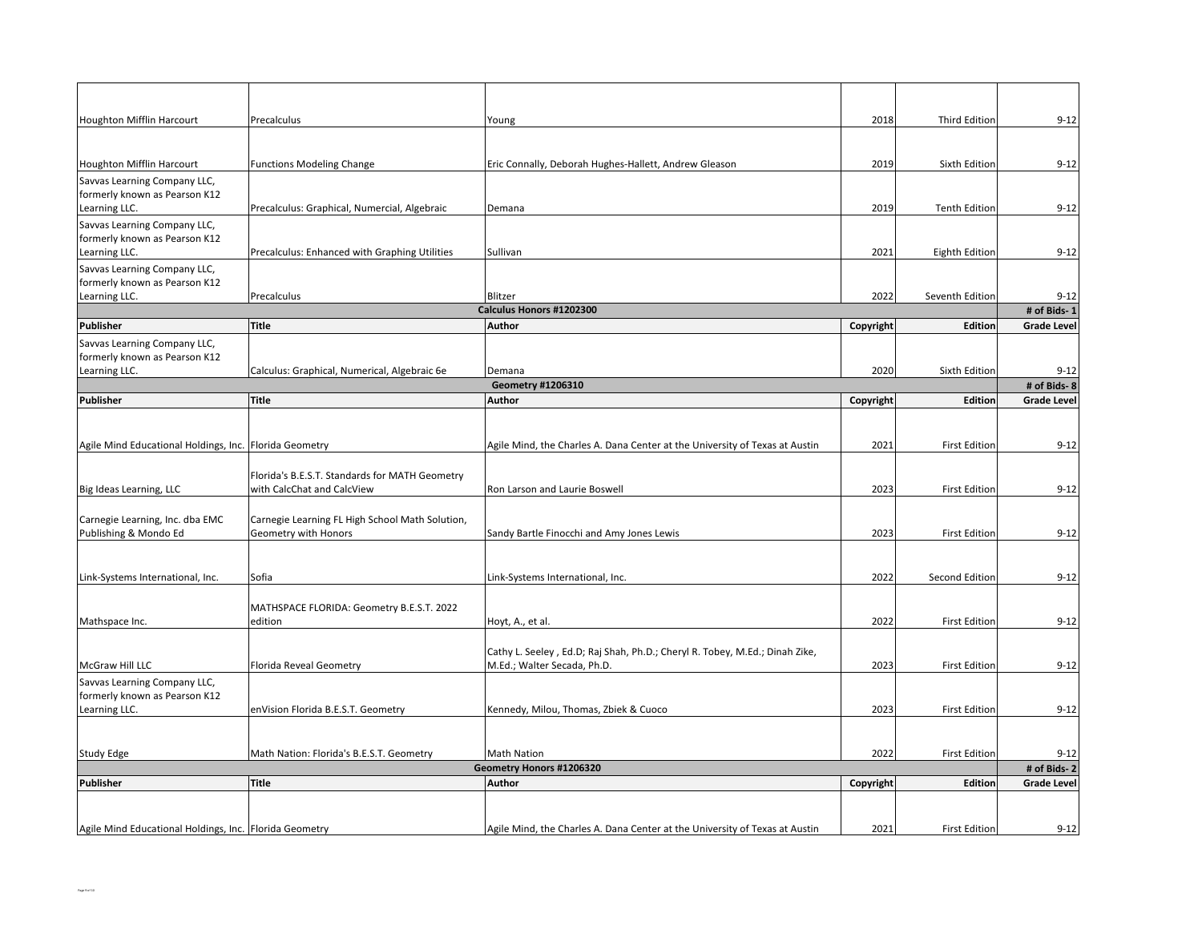| Houghton Mifflin Harcourt                                     | Precalculus                                     | Young                                                                       | 2018      | <b>Third Edition</b>  | $9 - 12$           |
|---------------------------------------------------------------|-------------------------------------------------|-----------------------------------------------------------------------------|-----------|-----------------------|--------------------|
|                                                               |                                                 |                                                                             |           |                       |                    |
|                                                               |                                                 |                                                                             |           |                       |                    |
| Houghton Mifflin Harcourt                                     | <b>Functions Modeling Change</b>                | Eric Connally, Deborah Hughes-Hallett, Andrew Gleason                       | 2019      | Sixth Edition         | $9 - 12$           |
| Savvas Learning Company LLC,<br>formerly known as Pearson K12 |                                                 |                                                                             |           |                       |                    |
| Learning LLC.                                                 | Precalculus: Graphical, Numercial, Algebraic    | Demana                                                                      | 2019      | <b>Tenth Edition</b>  | $9 - 12$           |
| Savvas Learning Company LLC,                                  |                                                 |                                                                             |           |                       |                    |
| formerly known as Pearson K12                                 |                                                 |                                                                             |           |                       |                    |
| Learning LLC.                                                 | Precalculus: Enhanced with Graphing Utilities   | Sullivan                                                                    | 2021      | <b>Eighth Edition</b> | $9 - 12$           |
| Savvas Learning Company LLC,                                  |                                                 |                                                                             |           |                       |                    |
| formerly known as Pearson K12                                 |                                                 |                                                                             |           |                       |                    |
| Learning LLC.                                                 | Precalculus                                     | Blitzer                                                                     | 2022      | Seventh Edition       | $9 - 12$           |
|                                                               |                                                 | Calculus Honors #1202300                                                    |           |                       | # of Bids-1        |
| Publisher                                                     | Title                                           | Author                                                                      | Copyright | Edition               | <b>Grade Level</b> |
| Savvas Learning Company LLC,                                  |                                                 |                                                                             |           |                       |                    |
| formerly known as Pearson K12<br>Learning LLC.                | Calculus: Graphical, Numerical, Algebraic 6e    | Demana                                                                      | 2020      | Sixth Edition         | $9 - 12$           |
|                                                               |                                                 | Geometry #1206310                                                           |           |                       | # of Bids-8        |
| Publisher                                                     | Title                                           | Author                                                                      | Copyright | Edition               | <b>Grade Level</b> |
|                                                               |                                                 |                                                                             |           |                       |                    |
|                                                               |                                                 |                                                                             |           |                       |                    |
| Agile Mind Educational Holdings, Inc. Florida Geometry        |                                                 | Agile Mind, the Charles A. Dana Center at the University of Texas at Austin | 2021      | <b>First Edition</b>  | $9 - 12$           |
|                                                               |                                                 |                                                                             |           |                       |                    |
|                                                               | Florida's B.E.S.T. Standards for MATH Geometry  |                                                                             |           |                       |                    |
| Big Ideas Learning, LLC                                       | with CalcChat and CalcView                      | Ron Larson and Laurie Boswell                                               | 2023      | <b>First Edition</b>  | $9 - 12$           |
|                                                               |                                                 |                                                                             |           |                       |                    |
| Carnegie Learning, Inc. dba EMC                               | Carnegie Learning FL High School Math Solution, |                                                                             |           |                       |                    |
| Publishing & Mondo Ed                                         | Geometry with Honors                            | Sandy Bartle Finocchi and Amy Jones Lewis                                   | 2023      | <b>First Edition</b>  | $9 - 12$           |
|                                                               |                                                 |                                                                             |           |                       |                    |
| Link-Systems International, Inc.                              | Sofia                                           | Link-Systems International, Inc.                                            | 2022      | Second Edition        | $9 - 12$           |
|                                                               |                                                 |                                                                             |           |                       |                    |
|                                                               | MATHSPACE FLORIDA: Geometry B.E.S.T. 2022       |                                                                             |           |                       |                    |
| Mathspace Inc.                                                | edition                                         | Hoyt, A., et al.                                                            | 2022      | <b>First Edition</b>  | $9 - 12$           |
|                                                               |                                                 |                                                                             |           |                       |                    |
|                                                               |                                                 | Cathy L. Seeley, Ed.D; Raj Shah, Ph.D.; Cheryl R. Tobey, M.Ed.; Dinah Zike, |           |                       |                    |
| McGraw Hill LLC                                               | Florida Reveal Geometry                         | M.Ed.; Walter Secada, Ph.D.                                                 | 2023      | <b>First Edition</b>  | $9 - 12$           |
| Savvas Learning Company LLC,                                  |                                                 |                                                                             |           |                       |                    |
| formerly known as Pearson K12                                 |                                                 |                                                                             |           |                       |                    |
| Learning LLC.                                                 | enVision Florida B.E.S.T. Geometry              | Kennedy, Milou, Thomas, Zbiek & Cuoco                                       | 2023      | <b>First Edition</b>  | $9 - 12$           |
|                                                               |                                                 |                                                                             |           |                       |                    |
| Study Edge                                                    | Math Nation: Florida's B.E.S.T. Geometry        | Math Nation                                                                 | 2022      | <b>First Edition</b>  | $9 - 12$           |
|                                                               |                                                 | Geometry Honors #1206320                                                    |           |                       | # of Bids-2        |
| Publisher                                                     | Title                                           | Author                                                                      | Copyright | <b>Edition</b>        | <b>Grade Level</b> |
|                                                               |                                                 |                                                                             |           |                       |                    |
|                                                               |                                                 |                                                                             |           |                       |                    |
| Agile Mind Educational Holdings, Inc. Florida Geometry        |                                                 | Agile Mind, the Charles A. Dana Center at the University of Texas at Austin | 2021      | <b>First Edition</b>  | $9 - 12$           |